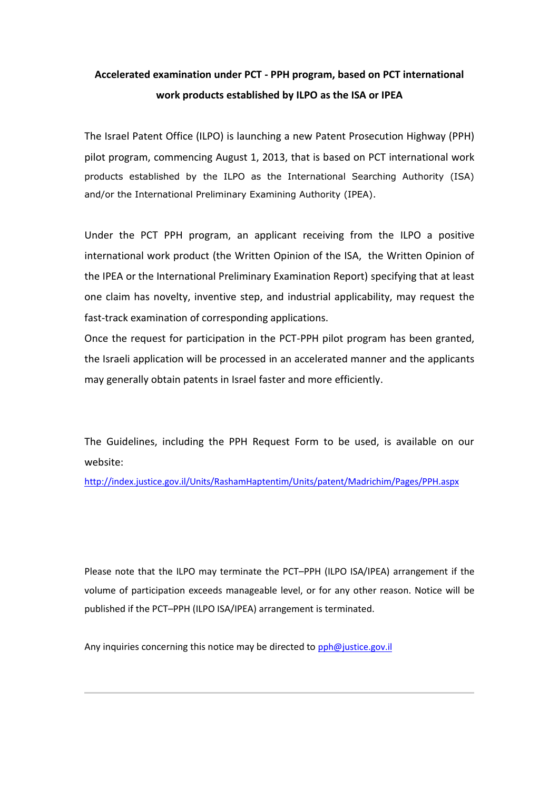## **Accelerated examination under PCT - PPH program, based on PCT international work products established by ILPO as the ISA or IPEA**

The Israel Patent Office (ILPO) is launching a new Patent Prosecution Highway (PPH) pilot program, commencing August 1, 2013, that is based on PCT international work products established by the ILPO as the International Searching Authority (ISA) and/or the International Preliminary Examining Authority (IPEA).

Under the PCT PPH program, an applicant receiving from the ILPO a positive international work product (the Written Opinion of the ISA, the Written Opinion of the IPEA or the International Preliminary Examination Report) specifying that at least one claim has novelty, inventive step, and industrial applicability, may request the fast-track examination of corresponding applications.

Once the request for participation in the PCT-PPH pilot program has been granted, the Israeli application will be processed in an accelerated manner and the applicants may generally obtain patents in Israel faster and more efficiently.

The Guidelines, including the PPH Request Form to be used, is available on our website:

<http://index.justice.gov.il/Units/RashamHaptentim/Units/patent/Madrichim/Pages/PPH.aspx>

Please note that the ILPO may terminate the PCT–PPH (ILPO ISA/IPEA) arrangement if the volume of participation exceeds manageable level, or for any other reason. Notice will be published if the PCT–PPH (ILPO ISA/IPEA) arrangement is terminated.

Any inquiries concerning this notice may be directed to [pph@justice.gov.il](mailto:pph@justice.gov.il)